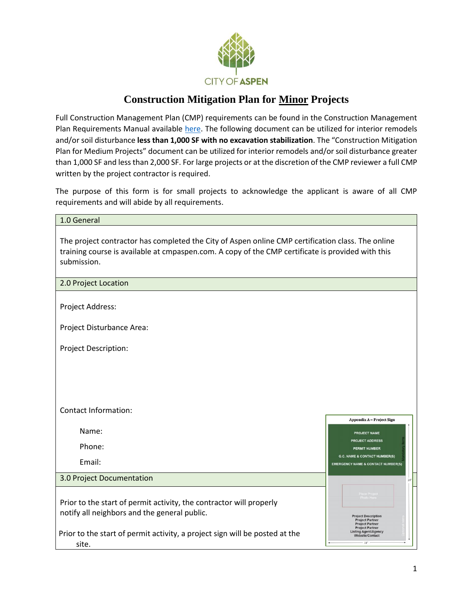

# **Construction Mitigation Plan for Minor Projects**

Full Construction Management Plan (CMP) requirements can be found in the Construction Management Plan Requirements Manual available [here.](https://www.cityofaspen.com/DocumentCenter/View/507/Construction-Mitigation-Plan-Manual-PDF?bidId=) The following document can be utilized for interior remodels and/or soil disturbance **less than 1,000 SF with no excavation stabilization**. The "Construction Mitigation Plan for Medium Projects" document can be utilized for interior remodels and/orsoil disturbance greater than 1,000 SF and less than 2,000 SF. For large projects or at the discretion of the CMP reviewer a full CMP written by the project contractor is required.

The purpose of this form is for small projects to acknowledge the applicant is aware of all CMP requirements and will abide by all requirements.

| 1.0 General                                                                                                                                                                                                           |                                                                                                                                         |
|-----------------------------------------------------------------------------------------------------------------------------------------------------------------------------------------------------------------------|-----------------------------------------------------------------------------------------------------------------------------------------|
| The project contractor has completed the City of Aspen online CMP certification class. The online<br>training course is available at cmpaspen.com. A copy of the CMP certificate is provided with this<br>submission. |                                                                                                                                         |
| 2.0 Project Location                                                                                                                                                                                                  |                                                                                                                                         |
| Project Address:                                                                                                                                                                                                      |                                                                                                                                         |
| Project Disturbance Area:                                                                                                                                                                                             |                                                                                                                                         |
| Project Description:                                                                                                                                                                                                  |                                                                                                                                         |
|                                                                                                                                                                                                                       |                                                                                                                                         |
|                                                                                                                                                                                                                       |                                                                                                                                         |
| <b>Contact Information:</b>                                                                                                                                                                                           |                                                                                                                                         |
| Name:                                                                                                                                                                                                                 | Appendix A - Project Sign<br>PROJECT NAME                                                                                               |
| Phone:                                                                                                                                                                                                                | <b>PROJECT ADDRESS</b><br><b>PERMIT NUMBER</b>                                                                                          |
| Email:                                                                                                                                                                                                                | <b>G.C. NAME &amp; CONTACT NUMBER(S)</b><br><b>EMERGENCY NAME &amp; CONTACT NUMBER(S)</b>                                               |
| 3.0 Project Documentation                                                                                                                                                                                             |                                                                                                                                         |
| Prior to the start of permit activity, the contractor will properly<br>notify all neighbors and the general public.                                                                                                   | <b>Project Description</b><br><b>Project Partner</b><br><b>Project Partner</b><br><b>Project Partner</b><br><b>Listing Agent/Agency</b> |
| Prior to the start of permit activity, a project sign will be posted at the<br>site.                                                                                                                                  | Website/Contact<br>18 <sup>m</sup>                                                                                                      |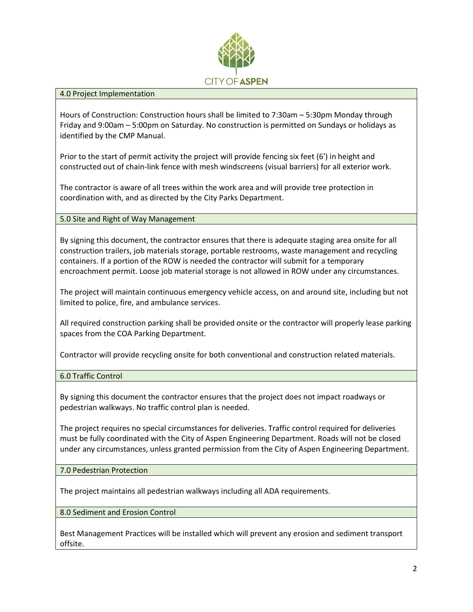

#### 4.0 Project Implementation

Hours of Construction: Construction hours shall be limited to 7:30am – 5:30pm Monday through Friday and 9:00am – 5:00pm on Saturday. No construction is permitted on Sundays or holidays as identified by the CMP Manual.

Prior to the start of permit activity the project will provide fencing six feet (6') in height and constructed out of chain-link fence with mesh windscreens (visual barriers) for all exterior work.

The contractor is aware of all trees within the work area and will provide tree protection in coordination with, and as directed by the City Parks Department.

#### 5.0 Site and Right of Way Management

By signing this document, the contractor ensures that there is adequate staging area onsite for all construction trailers, job materials storage, portable restrooms, waste management and recycling containers. If a portion of the ROW is needed the contractor will submit for a temporary encroachment permit. Loose job material storage is not allowed in ROW under any circumstances.

The project will maintain continuous emergency vehicle access, on and around site, including but not limited to police, fire, and ambulance services.

All required construction parking shall be provided onsite or the contractor will properly lease parking spaces from the COA Parking Department.

Contractor will provide recycling onsite for both conventional and construction related materials.

6.0 Traffic Control

By signing this document the contractor ensures that the project does not impact roadways or pedestrian walkways. No traffic control plan is needed.

The project requires no special circumstances for deliveries. Traffic control required for deliveries must be fully coordinated with the City of Aspen Engineering Department. Roads will not be closed under any circumstances, unless granted permission from the City of Aspen Engineering Department.

7.0 Pedestrian Protection

The project maintains all pedestrian walkways including all ADA requirements.

8.0 Sediment and Erosion Control

Best Management Practices will be installed which will prevent any erosion and sediment transport offsite.